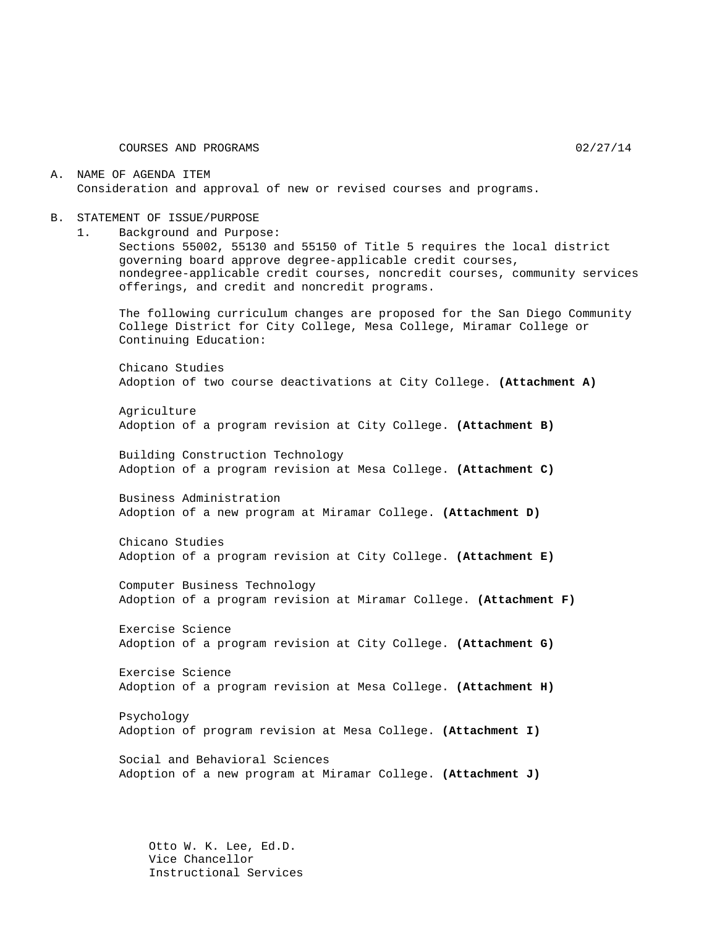COURSES AND PROGRAMS 02/27/14

A. NAME OF AGENDA ITEM Consideration and approval of new or revised courses and programs.

- B. STATEMENT OF ISSUE/PURPOSE
	- 1. Background and Purpose:

Sections 55002, 55130 and 55150 of Title 5 requires the local district governing board approve degree-applicable credit courses, nondegree-applicable credit courses, noncredit courses, community services offerings, and credit and noncredit programs.

The following curriculum changes are proposed for the San Diego Community College District for City College, Mesa College, Miramar College or Continuing Education:

Chicano Studies Adoption of two course deactivations at City College. **(Attachment A)**

Agriculture Adoption of a program revision at City College. **(Attachment B)**

Building Construction Technology Adoption of a program revision at Mesa College. **(Attachment C)**

Business Administration Adoption of a new program at Miramar College. **(Attachment D)**

Chicano Studies Adoption of a program revision at City College. **(Attachment E)**

Computer Business Technology Adoption of a program revision at Miramar College. **(Attachment F)**

Exercise Science Adoption of a program revision at City College. **(Attachment G)**

Exercise Science Adoption of a program revision at Mesa College. **(Attachment H)**

Psychology Adoption of program revision at Mesa College. **(Attachment I)**

Social and Behavioral Sciences Adoption of a new program at Miramar College. **(Attachment J)**

Otto W. K. Lee, Ed.D. Vice Chancellor Instructional Services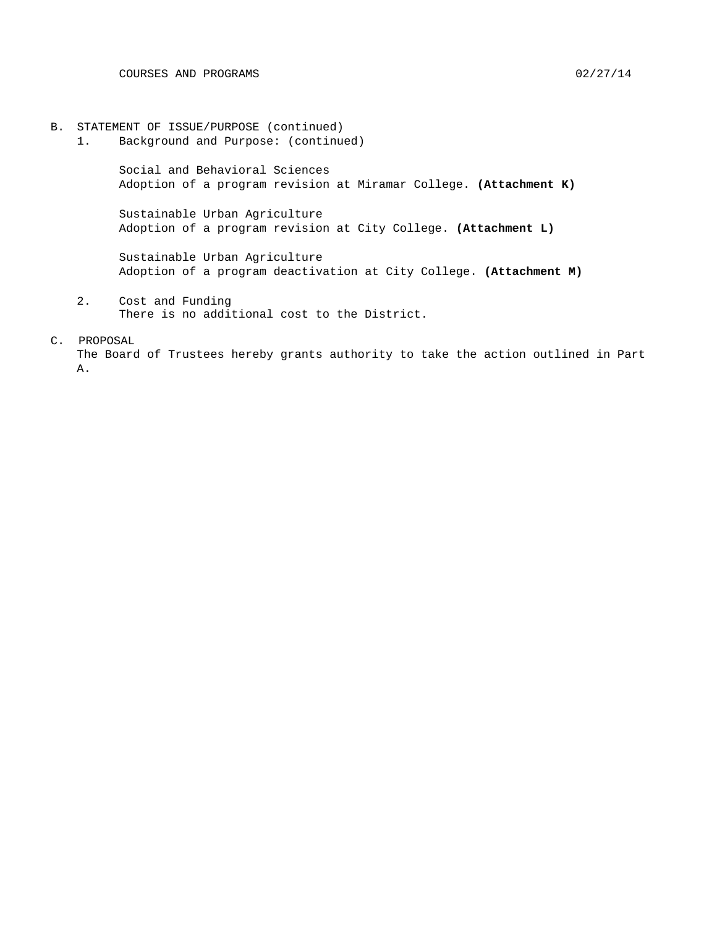- B. STATEMENT OF ISSUE/PURPOSE (continued)
	- 1. Background and Purpose: (continued)

Social and Behavioral Sciences Adoption of a program revision at Miramar College. **(Attachment K)**

Sustainable Urban Agriculture Adoption of a program revision at City College. **(Attachment L)**

Sustainable Urban Agriculture Adoption of a program deactivation at City College. **(Attachment M)**

2. Cost and Funding There is no additional cost to the District.

#### C. PROPOSAL

The Board of Trustees hereby grants authority to take the action outlined in Part A.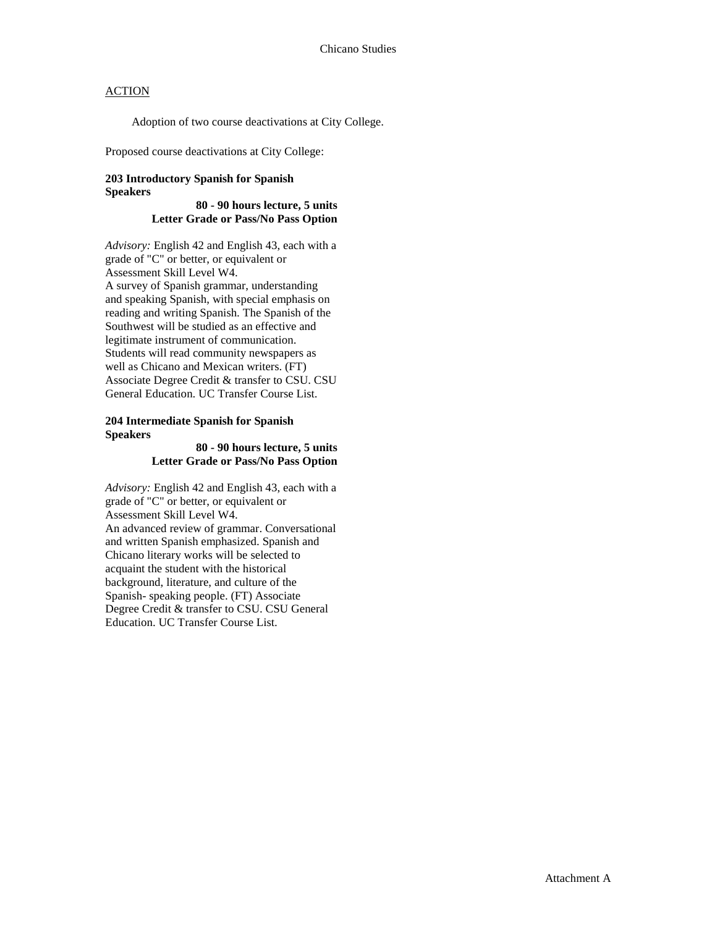Adoption of two course deactivations at City College.

Proposed course deactivations at City College:

#### **203 Introductory Spanish for Spanish Speakers**

**80 - 90 hours lecture, 5 units Letter Grade or Pass/No Pass Option**

*Advisory:* English 42 and English 43, each with a grade of "C" or better, or equivalent or Assessment Skill Level W4. A survey of Spanish grammar, understanding and speaking Spanish, with special emphasis on reading and writing Spanish. The Spanish of the Southwest will be studied as an effective and legitimate instrument of communication. Students will read community newspapers as well as Chicano and Mexican writers. (FT) Associate Degree Credit & transfer to CSU. CSU General Education. UC Transfer Course List.

#### **204 Intermediate Spanish for Spanish Speakers**

#### **80 - 90 hours lecture, 5 units Letter Grade or Pass/No Pass Option**

*Advisory:* English 42 and English 43, each with a grade of "C" or better, or equivalent or Assessment Skill Level W4. An advanced review of grammar. Conversational and written Spanish emphasized. Spanish and Chicano literary works will be selected to acquaint the student with the historical background, literature, and culture of the Spanish- speaking people. (FT) Associate Degree Credit & transfer to CSU. CSU General Education. UC Transfer Course List.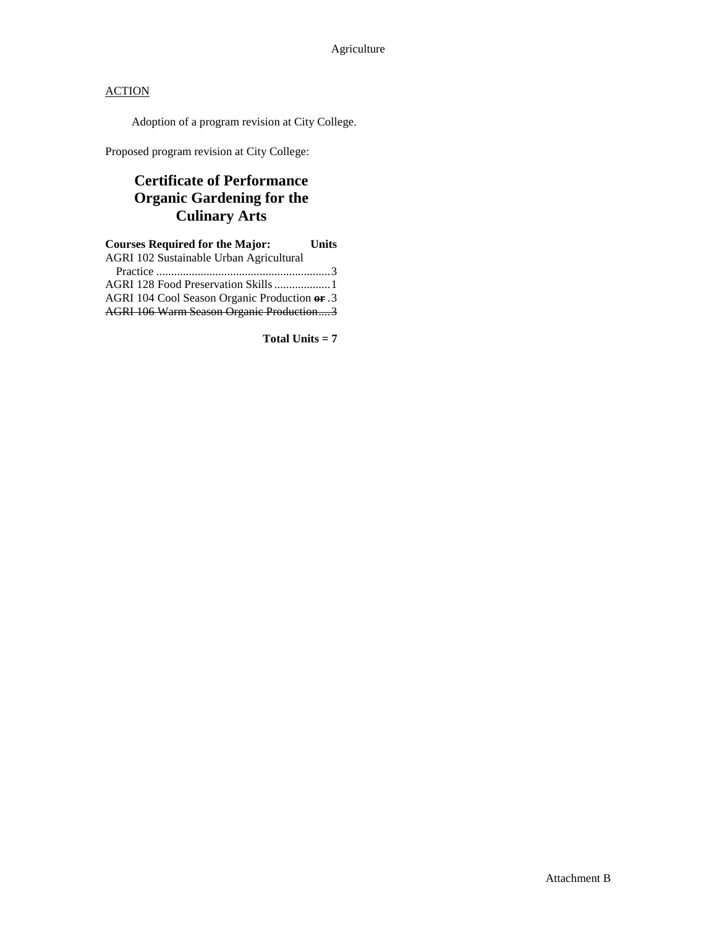Adoption of a program revision at City College.

Proposed program revision at City College:

# **Certificate of Performance Organic Gardening for the Culinary Arts**

| <b>Courses Required for the Major:</b>        | <b>Units</b> |
|-----------------------------------------------|--------------|
| AGRI 102 Sustainable Urban Agricultural       |              |
|                                               |              |
| AGRI 128 Food Preservation Skills  1          |              |
| AGRI 104 Cool Season Organic Production or .3 |              |
| AGRI 106 Warm Season Organic Production3      |              |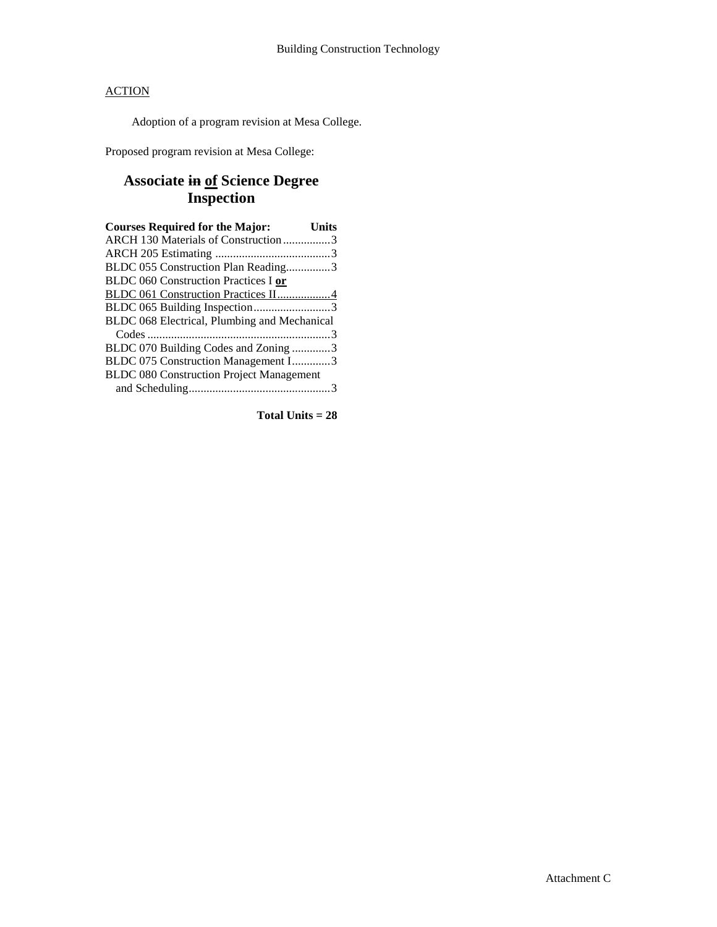Adoption of a program revision at Mesa College.

Proposed program revision at Mesa College:

# **Associate in of Science Degree Inspection**

| <b>Courses Required for the Major:</b>          | <b>Units</b> |
|-------------------------------------------------|--------------|
| ARCH 130 Materials of Construction 3            |              |
|                                                 |              |
| BLDC 055 Construction Plan Reading3             |              |
| <b>BLDC 060 Construction Practices I or</b>     |              |
| BLDC 061 Construction Practices II4             |              |
| BLDC 065 Building Inspection3                   |              |
| BLDC 068 Electrical, Plumbing and Mechanical    |              |
|                                                 |              |
| BLDC 070 Building Codes and Zoning 3            |              |
| BLDC 075 Construction Management I3             |              |
| <b>BLDC 080 Construction Project Management</b> |              |
|                                                 |              |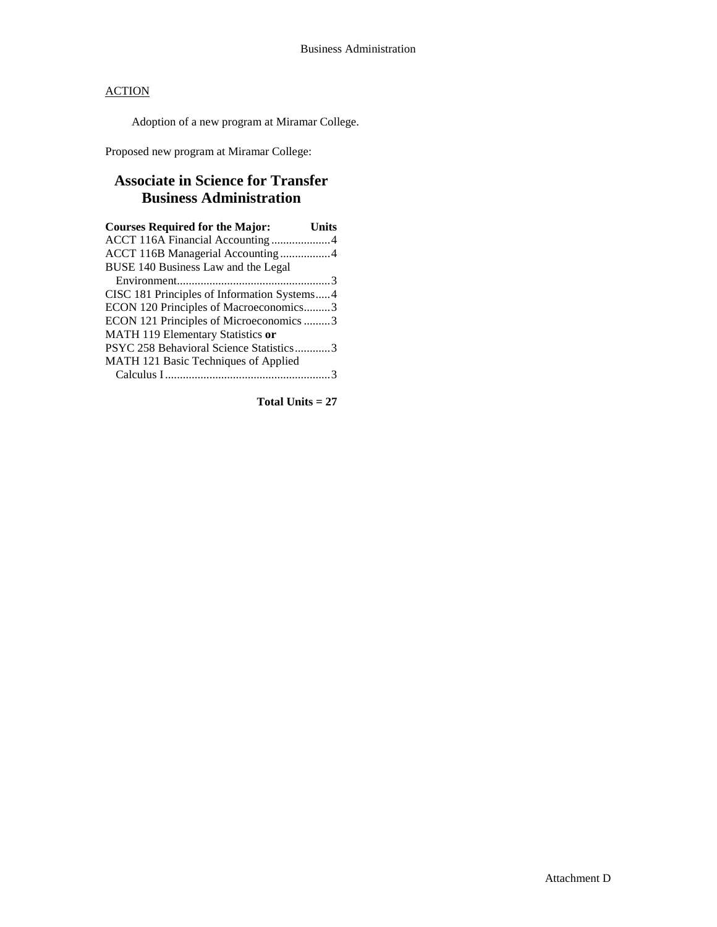Adoption of a new program at Miramar College.

Proposed new program at Miramar College:

# **Associate in Science for Transfer Business Administration**

| <b>Courses Required for the Major:</b>      | Units |
|---------------------------------------------|-------|
| ACCT 116A Financial Accounting4             |       |
| ACCT 116B Managerial Accounting 4           |       |
| BUSE 140 Business Law and the Legal         |       |
|                                             |       |
| CISC 181 Principles of Information Systems4 |       |
| ECON 120 Principles of Macroeconomics3      |       |
| ECON 121 Principles of Microeconomics 3     |       |
| MATH 119 Elementary Statistics or           |       |
| PSYC 258 Behavioral Science Statistics3     |       |
| MATH 121 Basic Techniques of Applied        |       |
|                                             |       |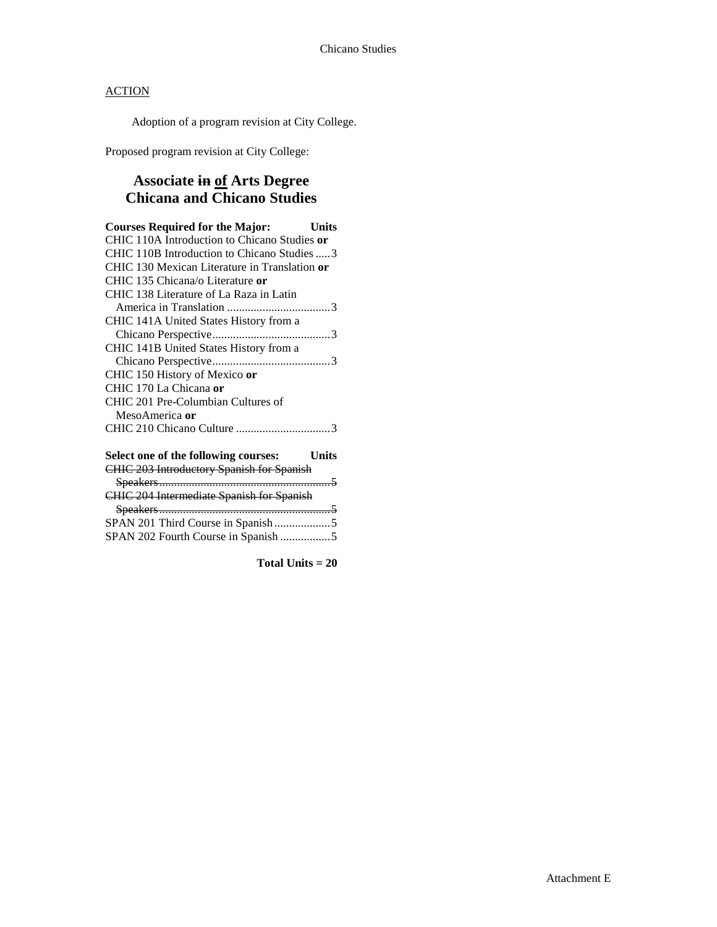Adoption of a program revision at City College.

Proposed program revision at City College:

# **Associate in of Arts Degree Chicana and Chicano Studies**

| <b>Courses Required for the Major:</b><br><b>Units</b> |
|--------------------------------------------------------|
| CHIC 110A Introduction to Chicano Studies or           |
| CHIC 110B Introduction to Chicano Studies  3           |
| CHIC 130 Mexican Literature in Translation or          |
| CHIC 135 Chicana/o Literature or                       |
| CHIC 138 Literature of La Raza in Latin                |
|                                                        |
| CHIC 141A United States History from a                 |
|                                                        |
| CHIC 141B United States History from a                 |
|                                                        |
| CHIC 150 History of Mexico or                          |
| CHIC 170 La Chicana or                                 |
| CHIC 201 Pre-Columbian Cultures of                     |
| MesoAmerica or                                         |
|                                                        |
| Select one of the following courses:<br>Units          |
| <b>CHIC 203 Introductory Spanish for Spanish</b>       |
|                                                        |
| <b>CHIC 204 Intermediate Spanish for Spanish</b>       |
|                                                        |
|                                                        |
| SPAN 202 Fourth Course in Spanish 5                    |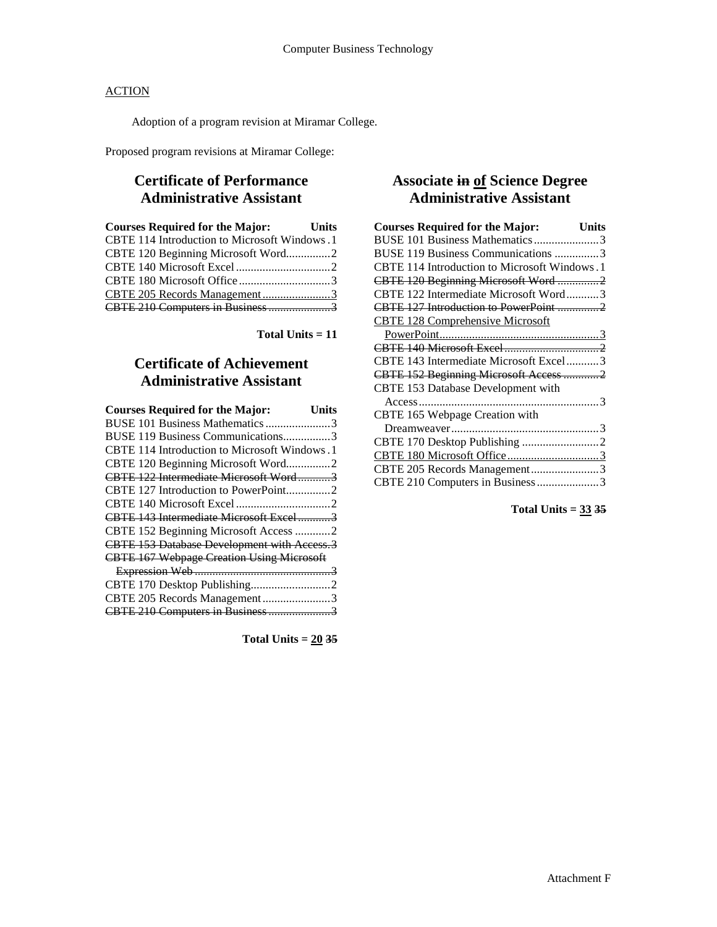Adoption of a program revision at Miramar College.

Proposed program revisions at Miramar College:

## **Certificate of Performance Administrative Assistant**

| <b>Courses Required for the Major:</b> Units |  |
|----------------------------------------------|--|
| CBTE 114 Introduction to Microsoft Windows.1 |  |
| CBTE 120 Beginning Microsoft Word2           |  |
|                                              |  |
|                                              |  |
|                                              |  |
| CBTE 210 Computers in Business 3             |  |

**Total Units = 11**

# **Certificate of Achievement Administrative Assistant**

| <b>Courses Required for the Major:</b>           | Units |
|--------------------------------------------------|-------|
| BUSE 101 Business Mathematics 3                  |       |
| BUSE 119 Business Communications3                |       |
| CBTE 114 Introduction to Microsoft Windows.1     |       |
| CBTE 120 Beginning Microsoft Word2               |       |
| CBTE 122 Intermediate Microsoft Word3            |       |
| CBTE 127 Introduction to PowerPoint2             |       |
|                                                  |       |
| CBTE 143 Intermediate Microsoft Excel3           |       |
| CBTE 152 Beginning Microsoft Access 2            |       |
| CBTE 153 Database Development with Access.3      |       |
| <b>CBTE 167 Webpage Creation Using Microsoft</b> |       |
|                                                  |       |
|                                                  |       |
| CBTE 205 Records Management3                     |       |
|                                                  |       |

**Total Units = 20 35**

# **Associate in of Science Degree Administrative Assistant**

| <b>Courses Required for the Major:</b>       | Units |
|----------------------------------------------|-------|
| BUSE 101 Business Mathematics3               |       |
| BUSE 119 Business Communications 3           |       |
| CBTE 114 Introduction to Microsoft Windows.1 |       |
| CBTE 120 Beginning Microsoft Word2           |       |
| CBTE 122 Intermediate Microsoft Word3        |       |
| CBTE 127 Introduction to PowerPoint 2        |       |
| <b>CBTE 128 Comprehensive Microsoft</b>      |       |
|                                              |       |
|                                              |       |
| CBTE 143 Intermediate Microsoft Excel3       |       |
| CBTE 152 Beginning Microsoft Access 2        |       |
| CBTE 153 Database Development with           |       |
|                                              |       |
| CBTE 165 Webpage Creation with               |       |
|                                              |       |
|                                              |       |
| CBTE 180 Microsoft Office3                   |       |
| CBTE 205 Records Management3                 |       |
| CBTE 210 Computers in Business 3             |       |

**Total Units = 33 35**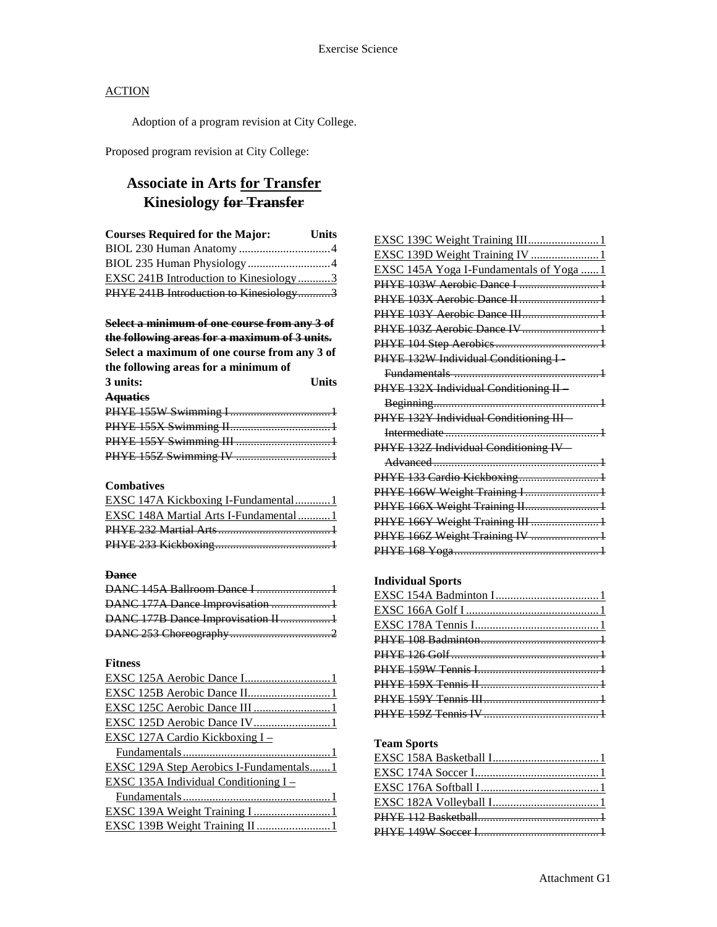Adoption of a program revision at City College.

Proposed program revision at City College:

# **Associate in Arts for Transfer Kinesiology for Transfer**

| <b>Courses Required for the Major:</b>        | <b>Units</b> |
|-----------------------------------------------|--------------|
|                                               |              |
| BIOL 235 Human Physiology 4                   |              |
| <b>EXSC 241B Introduction to Kinesiology3</b> |              |
| PHYE 241B Introduction to Kinesiology3        |              |

**Select a minimum of one course from any 3 of the following areas for a maximum of 3 units.**

| Select a maximum of one course from any 3 of |              |
|----------------------------------------------|--------------|
| the following areas for a minimum of         |              |
| 3 units:                                     | <b>Units</b> |
| <b>Aquaties</b>                              |              |

### **Combatives**

| EXSC 147A Kickboxing I-Fundamental1   |  |
|---------------------------------------|--|
| EXSC 148A Martial Arts I-Fundamental1 |  |
|                                       |  |
|                                       |  |

#### **Dance**

| DANC 177A Dance Improvisation 1     |  |
|-------------------------------------|--|
| DANC 177B Dance Improvisation II  1 |  |
|                                     |  |

### **Fitness**

| EXSC 125C Aerobic Dance III  1          |
|-----------------------------------------|
|                                         |
| <u>EXSC 127A Cardio Kickboxing I –</u>  |
|                                         |
| EXSC 129A Step Aerobics I-Fundamentals1 |
| EXSC 135A Individual Conditioning I –   |
|                                         |
|                                         |
| EXSC 139B Weight Training II 1          |
|                                         |

| EXSC 139C Weight Training III 1                             |
|-------------------------------------------------------------|
| EXSC 139D Weight Training IV  1                             |
| EXSC 145A Yoga I-Fundamentals of Yoga  1                    |
| PHYE 103W Aerobic Dance I 1                                 |
|                                                             |
| PHYE 103Y Aerobic Dance III1                                |
| PHYE 103Z Aerobic Dance IV 1                                |
|                                                             |
| PHYE 132W Individual Conditioning I-                        |
|                                                             |
| PHYE 132X Individual Conditioning II-                       |
|                                                             |
| PHYE 132Y Individual Conditioning III-                      |
|                                                             |
| PHYE 132Z Individual Conditioning IV-                       |
|                                                             |
|                                                             |
|                                                             |
| PHYE 133 Cardio Kickboxing1<br>PHYE 166W Weight Training I1 |
| PHYE 166X Weight Training II 1                              |
| PHYE 166Y Weight Training III 1                             |
| PHYE 166Z Weight Training IV  1                             |

### **Individual Sports**

### **Team Sports**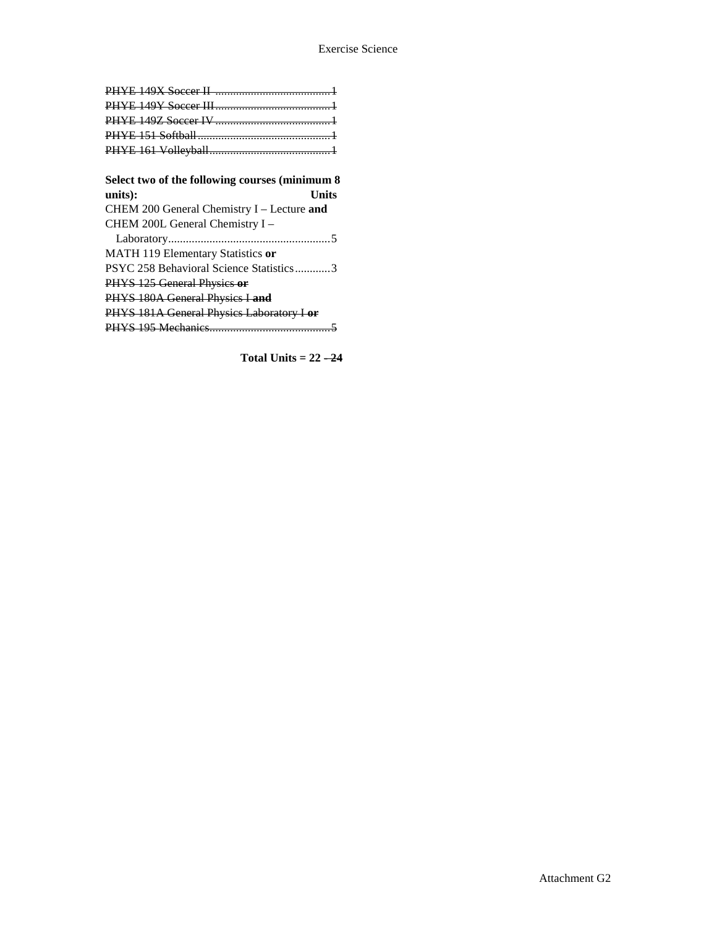| Select two of the following courses (minimum 8 |
|------------------------------------------------|
| units):<br>Units                               |
| CHEM 200 General Chemistry I - Lecture and     |
| CHEM 200L General Chemistry I -                |
|                                                |
| MATH 119 Elementary Statistics or              |
| PSYC 258 Behavioral Science Statistics3        |
| PHYS 125 General Physics or                    |
| PHYS 180A General Physics I and                |
| PHYS 181A General Physics Laboratory I or      |
|                                                |

**Total Units =**  $22 - 24$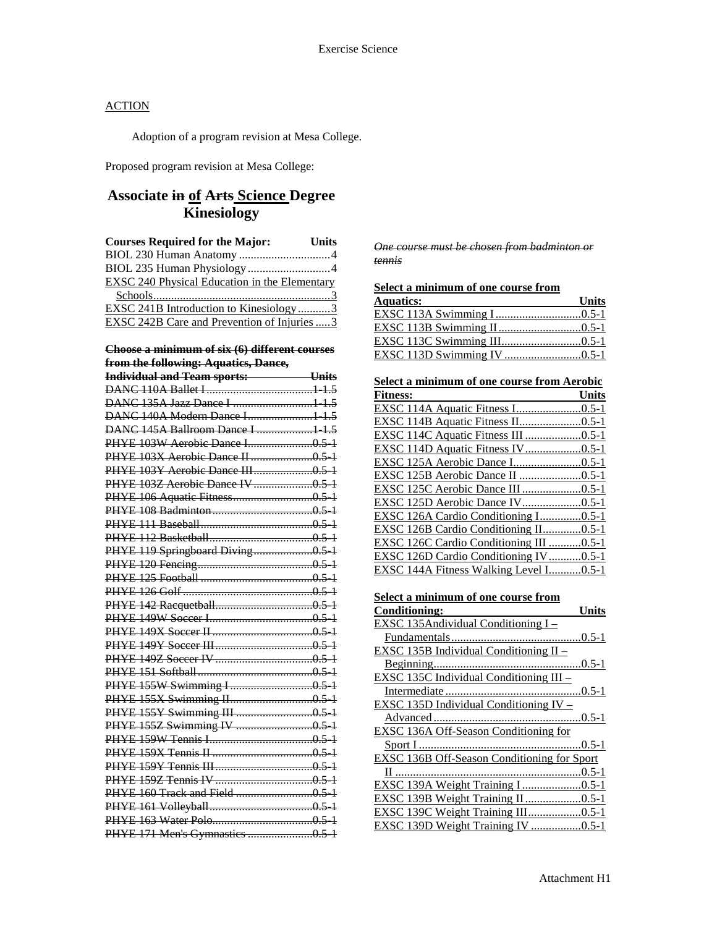Adoption of a program revision at Mesa College.

Proposed program revision at Mesa College:

# **Associate in of Arts Science Degree Kinesiology**

| <b>Courses Required for the Major:</b>               | <b>Units</b> |
|------------------------------------------------------|--------------|
|                                                      |              |
|                                                      |              |
| <b>EXSC 240 Physical Education in the Elementary</b> |              |
|                                                      |              |
| EXSC 241B Introduction to Kinesiology3               |              |
| EXSC 242B Care and Prevention of Injuries 3          |              |
|                                                      |              |

#### **Choose a minimum of six (6) different courses from the following: Aquatics, Dance,**

| $\frac{1}{2}$                            |  |
|------------------------------------------|--|
| Individual and Team sports: <b>White</b> |  |
|                                          |  |
| DANC 135A Jazz Dance I  1 1.5            |  |
| DANC 140A Modern Dance I1 1.5            |  |
| DANC 145A Ballroom Dance I  1 1.5        |  |
|                                          |  |
|                                          |  |
| PHYE 103Y Aerobic Dance III0.5-1         |  |
|                                          |  |
|                                          |  |
|                                          |  |
|                                          |  |
|                                          |  |
| PHYE 119 Springboard Diving0.5 1         |  |
|                                          |  |
|                                          |  |
|                                          |  |
|                                          |  |
|                                          |  |
|                                          |  |
|                                          |  |
|                                          |  |
|                                          |  |
|                                          |  |
|                                          |  |
|                                          |  |
|                                          |  |
|                                          |  |
|                                          |  |
|                                          |  |
|                                          |  |
|                                          |  |
|                                          |  |
|                                          |  |
|                                          |  |

*One course must be chosen from badminton or tennis*

|  | Select a minimum of one course from |
|--|-------------------------------------|
|  |                                     |

| <b>Aquatics:</b><br><u>and the state of the state of the state of the state of the state of the state of the state of the state of the state of the state of the state of the state of the state of the state of the state of the state of the state</u> | <b>Units</b> |
|----------------------------------------------------------------------------------------------------------------------------------------------------------------------------------------------------------------------------------------------------------|--------------|
| EXSC 113A Swimming I0.5-1                                                                                                                                                                                                                                |              |
|                                                                                                                                                                                                                                                          |              |
|                                                                                                                                                                                                                                                          |              |
|                                                                                                                                                                                                                                                          |              |

| Select a minimum of one course from Aerobic        |
|----------------------------------------------------|
|                                                    |
|                                                    |
|                                                    |
| EXSC 114C Aquatic Fitness III 0.5-1                |
| EXSC 114D Aquatic Fitness IV0.5-1                  |
|                                                    |
|                                                    |
| EXSC 125C Aerobic Dance III 0.5-1                  |
| EXSC 125D Aerobic Dance IV0.5-1                    |
| EXSC 126A Cardio Conditioning I0.5-1               |
| EXSC 126B Cardio Conditioning II0.5-1              |
| EXSC 126C Cardio Conditioning III 0.5-1            |
| EXSC 126D Cardio Conditioning IV0.5-1              |
| EXSC 144A Fitness Walking Level I0.5-1             |
|                                                    |
| Select a minimum of one course from                |
| <b>Conditioning:</b><br><b>Units</b>               |
| EXSC 135Andividual Conditioning I-                 |
|                                                    |
| EXSC 135B Individual Conditioning II -             |
|                                                    |
|                                                    |
| EXSC 135C Individual Conditioning III -            |
|                                                    |
| EXSC 135D Individual Conditioning IV -             |
|                                                    |
| EXSC 136A Off-Season Conditioning for              |
|                                                    |
| <b>EXSC 136B Off-Season Conditioning for Sport</b> |
|                                                    |

EXSC 139B Weight Training II...................0.5-1 EXSC 139C Weight Training III..................0.5-1 EXSC 139D Weight Training IV ...........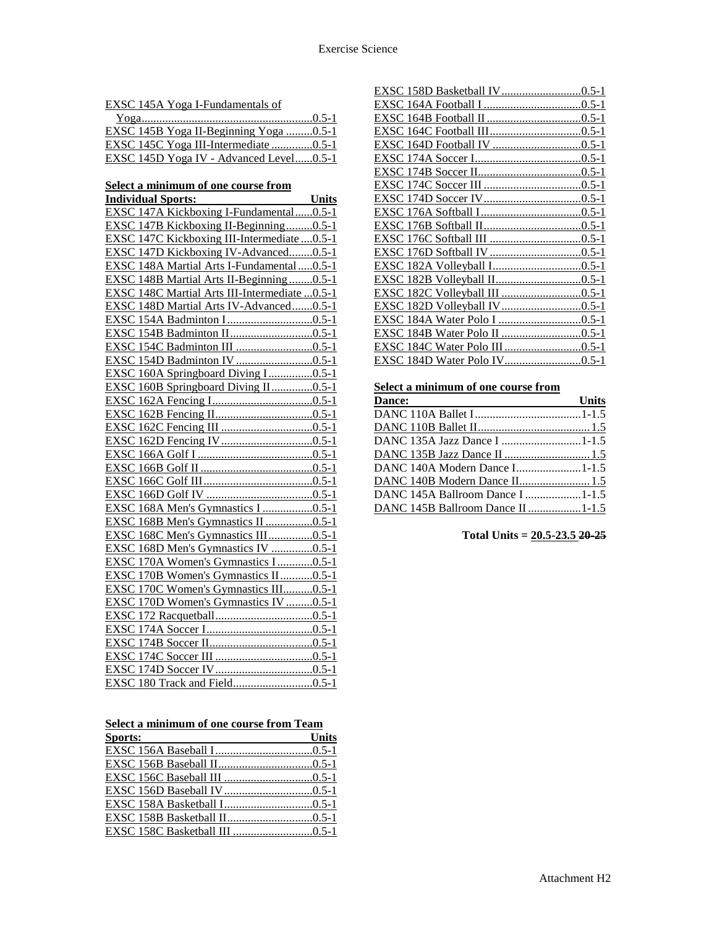EXSC 145A Yoga I-Fundamentals of

| EXSC 145B Yoga II-Beginning Yoga 0.5-1  |  |
|-----------------------------------------|--|
| EXSC 145C Yoga III-Intermediate 0.5-1   |  |
| EXSC 145D Yoga IV - Advanced Level0.5-1 |  |

#### **Select a minimum of one course from**

| <b>Individual Sports:</b>                      | <b>Units</b> |
|------------------------------------------------|--------------|
| EXSC 147A Kickboxing I-Fundamental0.5-1        |              |
| EXSC 147B Kickboxing II-Beginning0.5-1         |              |
| EXSC 147C Kickboxing III-Intermediate  0.5-1   |              |
| EXSC 147D Kickboxing IV-Advanced0.5-1          |              |
| EXSC 148A Martial Arts I-Fundamental  0.5-1    |              |
| EXSC 148B Martial Arts II-Beginning0.5-1       |              |
| EXSC 148C Martial Arts III-Intermediate  0.5-1 |              |
| EXSC 148D Martial Arts IV-Advanced0.5-1        |              |
|                                                |              |
|                                                |              |
| EXSC 154C Badminton III 0.5-1                  |              |
|                                                |              |
| EXSC 160A Springboard Diving I0.5-1            |              |
| EXSC 160B Springboard Diving II0.5-1           |              |
|                                                |              |
|                                                |              |
|                                                |              |
|                                                |              |
|                                                |              |
|                                                |              |
|                                                |              |
|                                                |              |
| EXSC 168A Men's Gymnastics I 0.5-1             |              |
| EXSC 168B Men's Gymnastics II 0.5-1            |              |
| EXSC 168C Men's Gymnastics III0.5-1            |              |
| EXSC 168D Men's Gymnastics IV 0.5-1            |              |
| EXSC 170A Women's Gymnastics I0.5-1            |              |
| EXSC 170B Women's Gymnastics II0.5-1           |              |
| EXSC 170C Women's Gymnastics III0.5-1          |              |
| EXSC 170D Women's Gymnastics IV 0.5-1          |              |
|                                                |              |
|                                                |              |
|                                                |              |
|                                                |              |
|                                                |              |
|                                                |              |

**Select a minimum of one course from Team** 

| Sports: | <b>Units</b> |
|---------|--------------|
|         |              |
|         |              |
|         |              |
|         |              |
|         |              |
|         |              |
|         |              |

## **Select a minimum of one course from**

| Dance:<br><u> The Communication of the Communication of the Communication of the Communication of the Communication of the Communication of the Communication of the Communication of the Communication of the Communication of the Commun</u> | Units |
|------------------------------------------------------------------------------------------------------------------------------------------------------------------------------------------------------------------------------------------------|-------|
|                                                                                                                                                                                                                                                |       |
|                                                                                                                                                                                                                                                |       |
|                                                                                                                                                                                                                                                |       |
|                                                                                                                                                                                                                                                |       |
| DANC 140A Modern Dance I1-1.5                                                                                                                                                                                                                  |       |
|                                                                                                                                                                                                                                                |       |
| DANC 145A Ballroom Dance I 1-1.5                                                                                                                                                                                                               |       |
| <b>DANC 145B Ballroom Dance II1-1.5</b>                                                                                                                                                                                                        |       |

**Total Units = 20.5-23.5 20-25**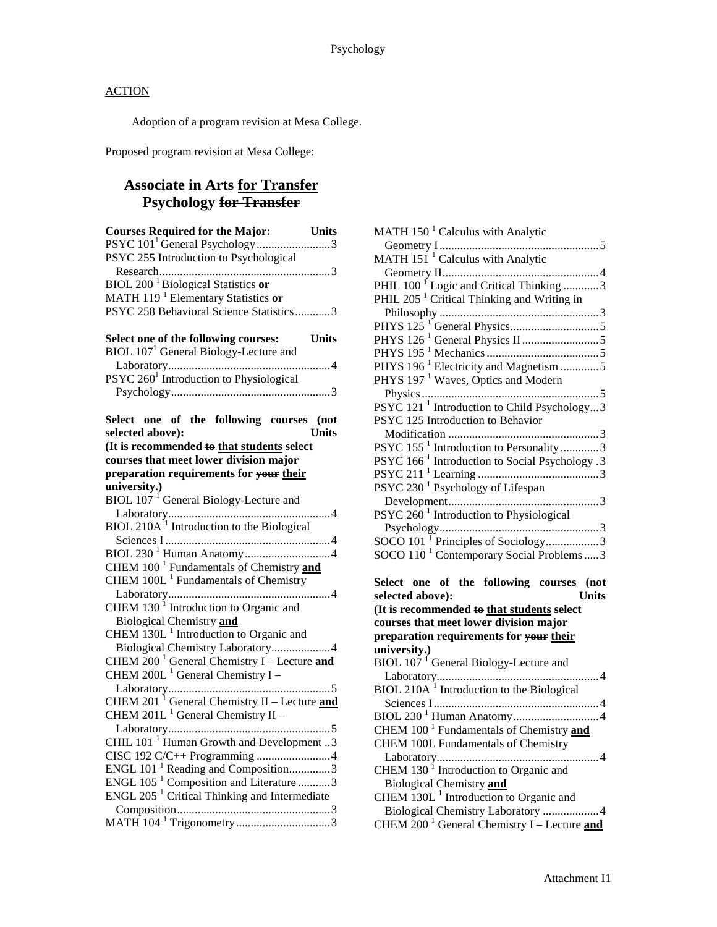Adoption of a program revision at Mesa College.

Proposed program revision at Mesa College:

## **Associate in Arts for Transfer Psychology for Transfer**

| <b>Courses Required for the Major:</b> Units             |              |
|----------------------------------------------------------|--------------|
| PSYC 101 <sup>1</sup> General Psychology 3               |              |
| PSYC 255 Introduction to Psychological                   |              |
|                                                          |              |
| BIOL 200 <sup>1</sup> Biological Statistics or           |              |
| MATH 119 <sup>1</sup> Elementary Statistics or           |              |
| PSYC 258 Behavioral Science Statistics3                  |              |
|                                                          |              |
| Select one of the following courses:                     | <b>Units</b> |
| BIOL 107 <sup>1</sup> General Biology-Lecture and        |              |
|                                                          |              |
| PSYC 260 <sup>1</sup> Introduction to Physiological      |              |
|                                                          |              |
|                                                          |              |
| Select one of the following courses (not                 |              |
| selected above):                                         | <b>Units</b> |
| (It is recommended to that students select               |              |
| courses that meet lower division major                   |              |
| preparation requirements for your their                  |              |
| university.)                                             |              |
| BIOL 107 <sup>1</sup> General Biology-Lecture and        |              |
|                                                          | 4            |
| BIOL 210A <sup>1</sup> Introduction to the Biological    |              |
|                                                          |              |
|                                                          |              |
| CHEM 100 <sup>1</sup> Fundamentals of Chemistry and      |              |
| CHEM 100L <sup>1</sup> Fundamentals of Chemistry         |              |
|                                                          |              |
|                                                          |              |
| CHEM $1301$ Introduction to Organic and                  |              |
| Biological Chemistry and                                 |              |
| CHEM $130L1$ Introduction to Organic and                 |              |
| Biological Chemistry Laboratory4                         |              |
| CHEM $200^{-1}$ General Chemistry I – Lecture and        |              |
| CHEM 200L $^1$ General Chemistry I -                     |              |
|                                                          |              |
| CHEM 201 <sup>1</sup> General Chemistry II - Lecture and |              |
| CHEM 201L <sup>1</sup> General Chemistry II -            |              |
|                                                          |              |
| CHIL 101 <sup>1</sup> Human Growth and Development 3     |              |
|                                                          |              |
| ENGL $101^{-1}$ Reading and Composition3                 |              |
| ENGL 105 <sup>1</sup> Composition and Literature 3       |              |
| ENGL 205 <sup>1</sup> Critical Thinking and Intermediate |              |
|                                                          |              |
|                                                          |              |
|                                                          |              |

| MATH 150 <sup>1</sup> Calculus with Analytic                                             |
|------------------------------------------------------------------------------------------|
| MATH 151 <sup>1</sup> Calculus with Analytic                                             |
|                                                                                          |
| PHIL 100 <sup>1</sup> Logic and Critical Thinking 3                                      |
| PHIL 205 <sup>1</sup> Critical Thinking and Writing in                                   |
|                                                                                          |
|                                                                                          |
|                                                                                          |
|                                                                                          |
| PHYS 196 <sup>1</sup> Electricity and Magnetism 5                                        |
| PHYS 197 <sup>1</sup> Waves, Optics and Modern                                           |
|                                                                                          |
| PSYC 121 <sup>1</sup> Introduction to Child Psychology3                                  |
| PSYC 125 Introduction to Behavior                                                        |
|                                                                                          |
| PSYC 155 <sup>1</sup> Introduction to Personality 3                                      |
|                                                                                          |
|                                                                                          |
| PSYC 230 <sup>1</sup> Psychology of Lifespan                                             |
|                                                                                          |
| PSYC $260^{\text{1}}$ Introduction to Physiological                                      |
|                                                                                          |
| SOCO 101 <sup>1</sup> Principles of Sociology3                                           |
| SOCO 110 <sup>1</sup> Contemporary Social Problems  3                                    |
|                                                                                          |
|                                                                                          |
| Select one of the following courses (not                                                 |
| selected above):<br><b>Units</b>                                                         |
| (It is recommended to that students select                                               |
| courses that meet lower division major                                                   |
| preparation requirements for your their                                                  |
| university.)                                                                             |
| BIOL $1071$ General Biology-Lecture and                                                  |
|                                                                                          |
| BIOL 210A <sup>1</sup> Introduction to the Biological                                    |
|                                                                                          |
|                                                                                          |
| CHEM 100 <sup>1</sup> Fundamentals of Chemistry and                                      |
| <b>CHEM 100L Fundamentals of Chemistry</b>                                               |
|                                                                                          |
| CHEM 130 <sup>1</sup> Introduction to Organic and                                        |
| <b>Biological Chemistry and</b>                                                          |
| CHEM 130L <sup>1</sup> Introduction to Organic and<br>Biological Chemistry Laboratory  4 |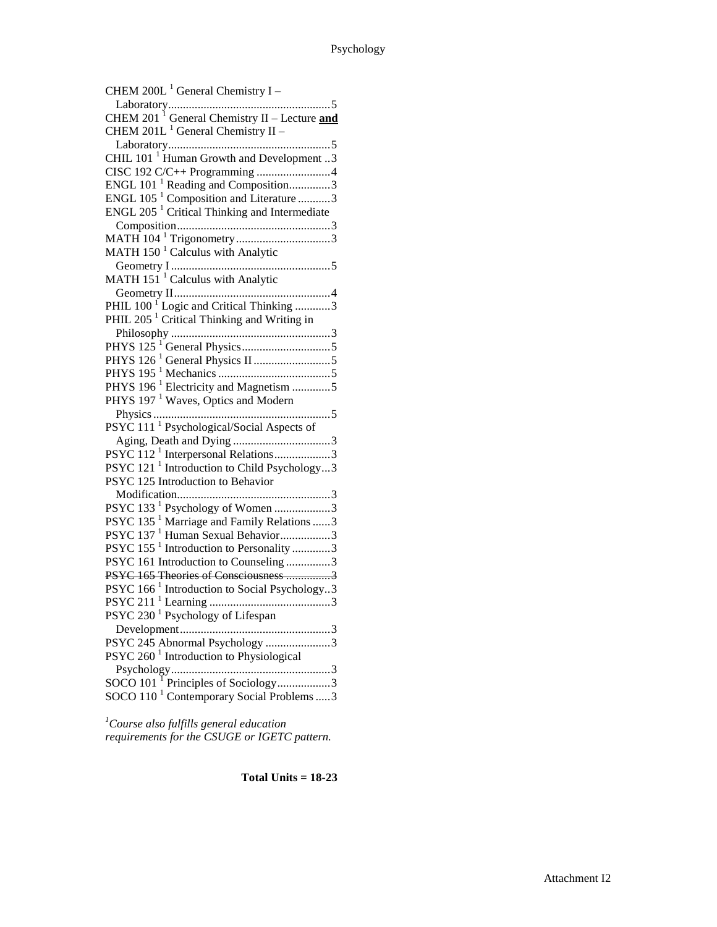| CHEM 200L <sup>1</sup> General Chemistry I –             |
|----------------------------------------------------------|
|                                                          |
| CHEM 201 <sup>1</sup> General Chemistry II – Lecture and |
| CHEM $201L1$ General Chemistry II –                      |
|                                                          |
| CHIL 101 <sup>1</sup> Human Growth and Development 3     |
|                                                          |
| ENGL 101 <sup>1</sup> Reading and Composition3           |
| ENGL 105 <sup>1</sup> Composition and Literature 3       |
| ENGL $205-1$ Critical Thinking and Intermediate          |
|                                                          |
|                                                          |
| MATH $1501$ Calculus with Analytic                       |
|                                                          |
| MATH 151 <sup>1</sup> Calculus with Analytic             |
|                                                          |
| PHIL 100 <sup>1</sup> Logic and Critical Thinking 3      |
| PHIL 205 <sup>1</sup> Critical Thinking and Writing in   |
|                                                          |
|                                                          |
|                                                          |
|                                                          |
| PHYS 196 <sup>1</sup> Electricity and Magnetism 5        |
| PHYS 197 <sup>1</sup> Waves, Optics and Modern           |
|                                                          |
| PSYC 111 <sup>1</sup> Psychological/Social Aspects of    |
|                                                          |
| PSYC 112 <sup>1</sup> Interpersonal Relations3           |
| PSYC 121 <sup>1</sup> Introduction to Child Psychology3  |
| PSYC 125 Introduction to Behavior                        |
|                                                          |
| PSYC 133 <sup>1</sup> Psychology of Women 3              |
| PSYC 135 <sup>1</sup> Marriage and Family Relations 3    |
| PSYC 137 <sup>1</sup> Human Sexual Behavior3             |
| PSYC 155 <sup>1</sup> Introduction to Personality 3      |
| PSYC 161 Introduction to Counseling 3                    |
| PSYC 165 Theories of Consciousness 3                     |
| PSYC 166 <sup>1</sup> Introduction to Social Psychology3 |
|                                                          |
| PSYC 230 <sup>1</sup> Psychology of Lifespan             |
|                                                          |
| PSYC 245 Abnormal Psychology 3                           |
| PSYC 260 $^1$ Introduction to Physiological              |
|                                                          |
| SOCO 101 <sup>T</sup> Principles of Sociology3           |
| SOCO 110 <sup>1</sup> Contemporary Social Problems 3     |

*1 Course also fulfills general education requirements for the CSUGE or IGETC pattern.*

**Total Units = 18 -23**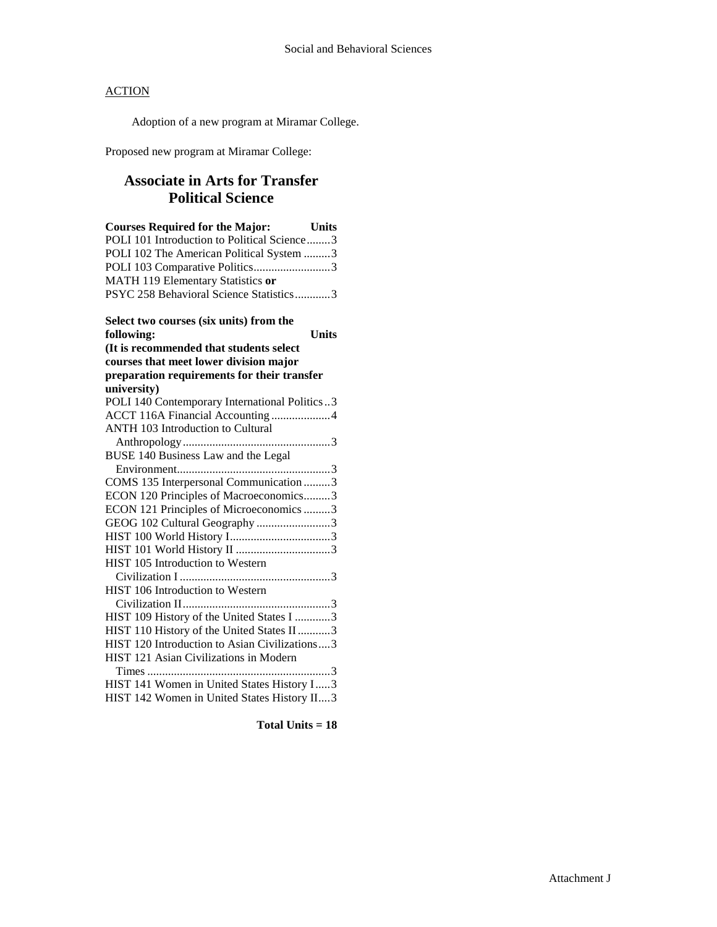Adoption of a new program at Miramar College.

Proposed new program at Miramar College:

# **Associate in Arts for Transfer Political Science**

| <b>Courses Required for the Major:</b><br>Units |
|-------------------------------------------------|
| POLI 101 Introduction to Political Science3     |
| POLI 102 The American Political System 3        |
| POLI 103 Comparative Politics3                  |
| MATH 119 Elementary Statistics or               |
| PSYC 258 Behavioral Science Statistics3         |
| Select two courses (six units) from the         |
| <b>Units</b><br>following:                      |
| (It is recommended that students select         |
| courses that meet lower division major          |
| preparation requirements for their transfer     |
| university)                                     |
| POLI 140 Contemporary International Politics3   |
| ACCT 116A Financial Accounting 4                |
| <b>ANTH 103 Introduction to Cultural</b>        |
|                                                 |
| BUSE 140 Business Law and the Legal             |
|                                                 |
| COMS 135 Interpersonal Communication 3          |
| ECON 120 Principles of Macroeconomics3          |
| ECON 121 Principles of Microeconomics 3         |
| GEOG 102 Cultural Geography 3                   |
|                                                 |
|                                                 |
| HIST 105 Introduction to Western                |
|                                                 |
| HIST 106 Introduction to Western                |
|                                                 |
| HIST 109 History of the United States I 3       |
| HIST 110 History of the United States II 3      |
| HIST 120 Introduction to Asian Civilizations3   |
| HIST 121 Asian Civilizations in Modern          |
|                                                 |
| HIST 141 Women in United States History I3      |
| HIST 142 Women in United States History II3     |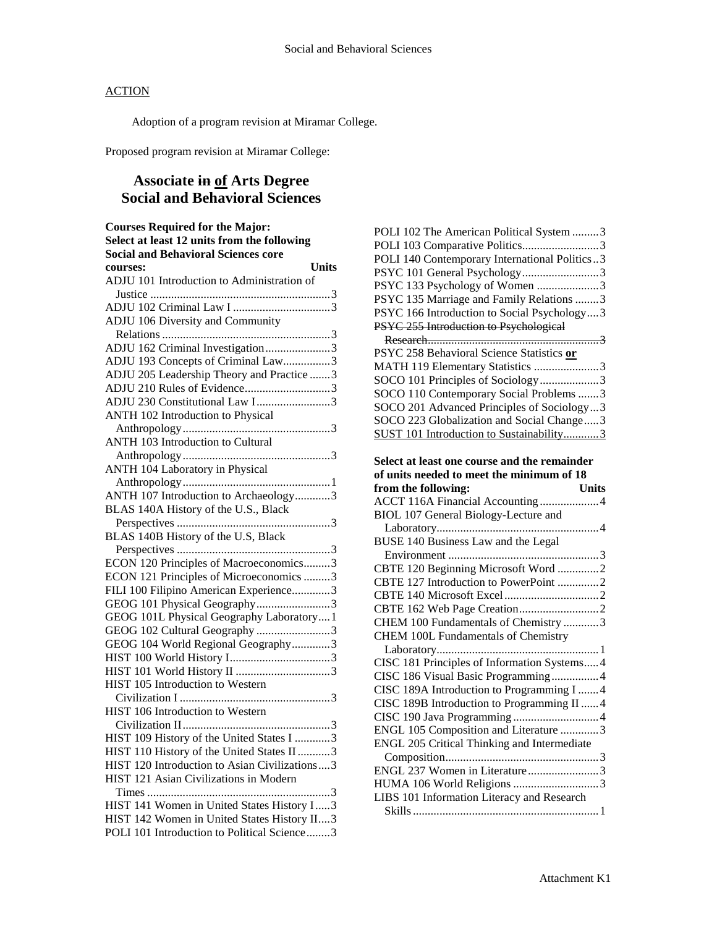Adoption of a program revision at Miramar College.

Proposed program revision at Miramar College:

# **Associate in of Arts Degree Social and Behavioral Sciences**

| <b>Courses Required for the Major:</b>        |
|-----------------------------------------------|
| Select at least 12 units from the following   |
| <b>Social and Behavioral Sciences core</b>    |
| <b>Units</b><br>courses:                      |
| ADJU 101 Introduction to Administration of    |
|                                               |
|                                               |
| ADJU 106 Diversity and Community              |
|                                               |
| ADJU 162 Criminal Investigation3              |
| ADJU 193 Concepts of Criminal Law3            |
| ADJU 205 Leadership Theory and Practice 3     |
| ADJU 210 Rules of Evidence3                   |
| ADJU 230 Constitutional Law I3                |
| ANTH 102 Introduction to Physical             |
|                                               |
| ANTH 103 Introduction to Cultural             |
|                                               |
| ANTH 104 Laboratory in Physical               |
|                                               |
| ANTH 107 Introduction to Archaeology3         |
| BLAS 140A History of the U.S., Black          |
|                                               |
| BLAS 140B History of the U.S, Black           |
|                                               |
| ECON 120 Principles of Macroeconomics3        |
| ECON 121 Principles of Microeconomics 3       |
| FILI 100 Filipino American Experience3        |
| GEOG 101 Physical Geography3                  |
| GEOG 101L Physical Geography Laboratory1      |
| GEOG 102 Cultural Geography 3                 |
| GEOG 104 World Regional Geography3            |
|                                               |
|                                               |
| HIST 105 Introduction to Western              |
|                                               |
| HIST 106 Introduction to Western              |
|                                               |
| HIST 109 History of the United States I 3     |
| HIST 110 History of the United States II 3    |
| HIST 120 Introduction to Asian Civilizations3 |
| HIST 121 Asian Civilizations in Modern        |
|                                               |
| HIST 141 Women in United States History I3    |
| HIST 142 Women in United States History II3   |
| POLI 101 Introduction to Political Science3   |
|                                               |

| POLI 102 The American Political System 3      |
|-----------------------------------------------|
| POLI 103 Comparative Politics3                |
| POLI 140 Contemporary International Politics3 |
| PSYC 101 General Psychology3                  |
| PSYC 133 Psychology of Women 3                |
| PSYC 135 Marriage and Family Relations 3      |
| PSYC 166 Introduction to Social Psychology3   |
| PSYC 255 Introduction to Psychological        |
|                                               |
| PSYC 258 Behavioral Science Statistics or     |
| MATH 119 Elementary Statistics 3              |
| SOCO 101 Principles of Sociology3             |
| SOCO 110 Contemporary Social Problems 3       |
| SOCO 201 Advanced Principles of Sociology3    |
| SOCO 223 Globalization and Social Change3     |
| SUST 101 Introduction to Sustainability3      |
|                                               |
| Select at least one course and the remainder  |
| of units needed to meet the minimum of 18     |
| from the following:<br><b>Units</b>           |
| ACCT 116A Financial Accounting4               |
| BIOL 107 General Biology-Lecture and          |
|                                               |
|                                               |
| BUSE 140 Business Law and the Legal           |
|                                               |
| CBTE 120 Beginning Microsoft Word 2           |
| CBTE 127 Introduction to PowerPoint 2         |
|                                               |
|                                               |
| CHEM 100 Fundamentals of Chemistry 3          |
| CHEM 100L Fundamentals of Chemistry           |
|                                               |
| CISC 181 Principles of Information Systems4   |
| CISC 186 Visual Basic Programming4            |
| CISC 189A Introduction to Programming I  4    |
| CISC 189B Introduction to Programming II  4   |
|                                               |
| ENGL 105 Composition and Literature 3         |
| ENGL 205 Critical Thinking and Intermediate   |
|                                               |
| ENGL 237 Women in Literature3                 |
|                                               |
| LIBS 101 Information Literacy and Research    |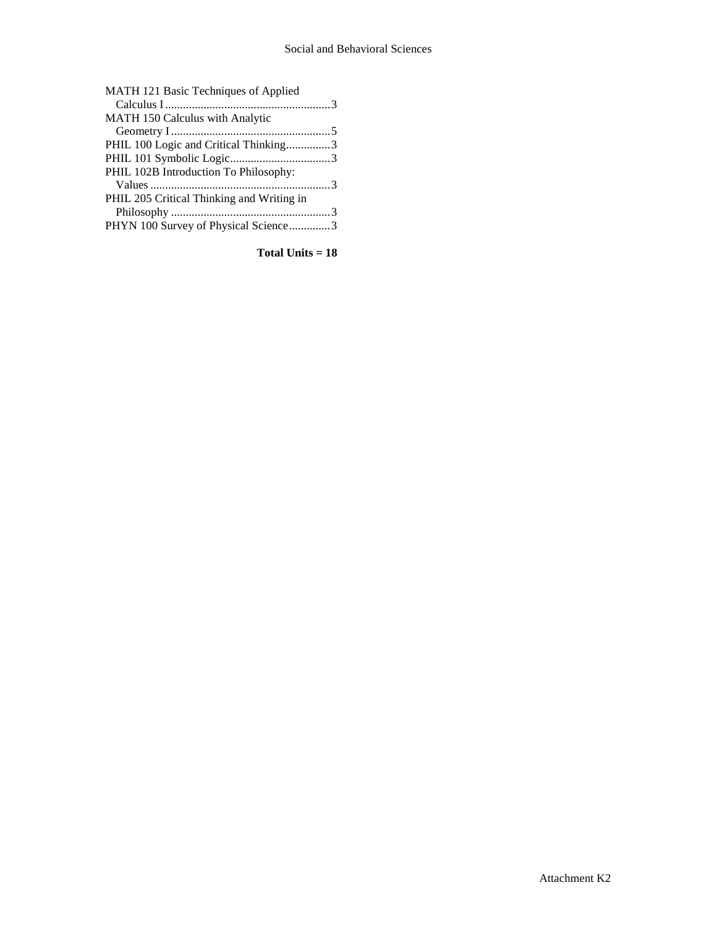| MATH 121 Basic Techniques of Applied      |  |
|-------------------------------------------|--|
|                                           |  |
| MATH 150 Calculus with Analytic           |  |
|                                           |  |
| PHIL 100 Logic and Critical Thinking3     |  |
|                                           |  |
| PHIL 102B Introduction To Philosophy:     |  |
|                                           |  |
| PHIL 205 Critical Thinking and Writing in |  |
|                                           |  |
| PHYN 100 Survey of Physical Science3      |  |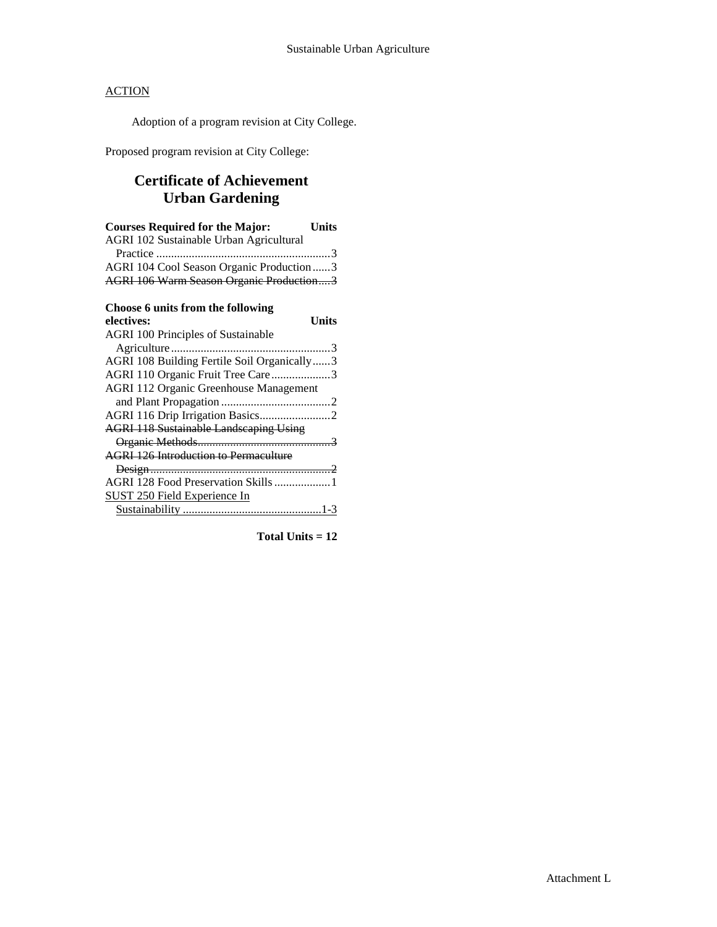Adoption of a program revision at City College.

Proposed program revision at City College:

# **Certificate of Achievement Urban Gardening**

| <b>Courses Required for the Major:</b><br><b>Units</b> |
|--------------------------------------------------------|
| AGRI 102 Sustainable Urban Agricultural                |
|                                                        |
| AGRI 104 Cool Season Organic Production3               |
| AGRI 106 Warm Season Organic Production3               |
| Choose 6 units from the following                      |
| electives:<br>Units                                    |
| <b>AGRI 100 Principles of Sustainable</b>              |
|                                                        |
| AGRI 108 Building Fertile Soil Organically3            |
| AGRI 110 Organic Fruit Tree Care3                      |
| <b>AGRI 112 Organic Greenhouse Management</b>          |
|                                                        |
|                                                        |
| <b>AGRI 118 Sustainable Landscaping Using</b>          |
|                                                        |
| <b>AGRI 126 Introduction to Permaculture</b>           |
|                                                        |
| AGRI 128 Food Preservation Skills  1                   |
| <b>SUST 250 Field Experience In</b>                    |
|                                                        |